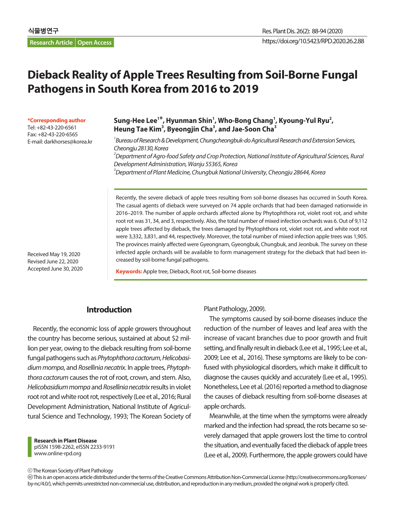# **Dieback Reality of Apple Trees Resulting from Soil-Borne Fungal Pathogens in South Korea from 2016 to 2019**

**\*Corresponding author**

Received May 19, 2020 Revised June 22, 2020 Accepted June 30, 2020

Tel: +82-43-220-6561 Fax: +82-43-220-6565 E-mail: darkhorses@korea.kr

### Sung-Hee Lee<sup>1\*</sup>, Hyunman Shin<sup>1</sup>, Who-Bong Chang<sup>1</sup>, Kyoung-Yul Ryu<sup>2</sup>, **Heung Tae Kim3 , Byeongjin Cha3 , and Jae-Soon Cha3**

*1 Bureau of Research & Development, Chungcheongbuk-do Agricultural Research and Extension Services, Cheongju 28130, Korea 2 Department of Agro-food Safety and Crop Protection, National Institute of Agricultural Sciences, Rural Development Administration, Wanju 55365, Korea 3 Department of Plant Medicine, Chungbuk National University, Cheongju 28644, Korea*

Recently, the severe dieback of apple trees resulting from soil-borne diseases has occurred in South Korea. The casual agents of dieback were surveyed on 74 apple orchards that had been damaged nationwide in 2016–2019. The number of apple orchards affected alone by Phytophthora rot, violet root rot, and white root rot was 31, 34, and 3, respectively. Also, the total number of mixed infection orchards was 6. Out of 9,112 apple trees affected by dieback, the trees damaged by Phytophthora rot, violet root rot, and white root rot were 3,332, 3,831, and 44, respectively. Moreover, the total number of mixed infection apple trees was 1,905. The provinces mainly affected were Gyeongnam, Gyeongbuk, Chungbuk, and Jeonbuk. The survey on these infected apple orchards will be available to form management strategy for the dieback that had been increased by soil-borne fungal pathogens.

**Keywords:** Apple tree, Dieback, Root rot, Soil-borne diseases

## **Introduction**

Recently, the economic loss of apple growers throughout the country has become serious, sustained at about \$2 million per year, owing to the dieback resulting from soil-borne fungal pathogens such as *Phytophthora cactorum*, *Helicobasidium mompa*, and *Rosellinia necatrix*. In apple trees, *Phytophthora cactorum* causes the rot of root, crown, and stem. Also, *Helicobasidium mompa* and *Rosellinia necatrix* results in violet root rot and white root rot, respectively (Lee et al., 2016; Rural Development Administration, National Institute of Agricultural Science and Technology, 1993; The Korean Society of

**Research in Plant Disease** pISSN 1598-2262, eISSN 2233-9191 www.online-rpd.org

Plant Pathology, 2009).

The symptoms caused by soil-borne diseases induce the reduction of the number of leaves and leaf area with the increase of vacant branches due to poor growth and fruit setting, and finally result in dieback (Lee et al., 1995; Lee et al., 2009; Lee et al., 2016). These symptoms are likely to be confused with physiological disorders, which make it difficult to diagnose the causes quickly and accurately (Lee et al., 1995). Nonetheless, Lee et al. (2016) reported a method to diagnose the causes of dieback resulting from soil-borne diseases at apple orchards.

Meanwhile, at the time when the symptoms were already marked and the infection had spread, the rots became so severely damaged that apple growers lost the time to control the situation, and eventually faced the dieback of apple trees (Lee et al., 2009). Furthermore, the apple growers could have

The Korean Society of Plant Pathology

 This is an open access article distributed under the terms of the Creative Commons Attribution Non-Commercial License (http://creativecommons.org/licenses/ by-nc/4.0/), which permits unrestricted non-commercial use, distribution, and reproduction in any medium, provided the original work is properly cited.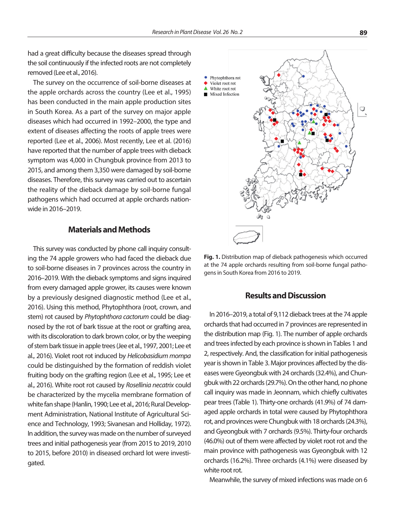had a great difficulty because the diseases spread through the soil continuously if the infected roots are not completely removed (Lee et al., 2016).

The survey on the occurrence of soil-borne diseases at the apple orchards across the country (Lee et al., 1995) has been conducted in the main apple production sites in South Korea. As a part of the survey on major apple diseases which had occurred in 1992–2000, the type and extent of diseases affecting the roots of apple trees were reported (Lee et al., 2006). Most recently, Lee et al. (2016) have reported that the number of apple trees with dieback symptom was 4,000 in Chungbuk province from 2013 to 2015, and among them 3,350 were damaged by soil-borne diseases. Therefore, this survey was carried out to ascertain the reality of the dieback damage by soil-borne fungal pathogens which had occurred at apple orchards nationwide in 2016–2019.

#### **Materials and Methods**

This survey was conducted by phone call inquiry consulting the 74 apple growers who had faced the dieback due to soil-borne diseases in 7 provinces across the country in 2016–2019. With the dieback symptoms and signs inquired from every damaged apple grower, its causes were known by a previously designed diagnostic method (Lee et al., 2016). Using this method, Phytophthora (root, crown, and stem) rot caused by *Phytophthora cactorum* could be diagnosed by the rot of bark tissue at the root or grafting area, with its discoloration to dark brown color, or by the weeping of stem bark tissue in apple trees (Jee et al., 1997, 2001; Lee et al., 2016). Violet root rot induced by *Helicobasidium mompa*  could be distinguished by the formation of reddish violet fruiting body on the grafting region (Lee et al., 1995; Lee et al., 2016). White root rot caused by *Rosellinia necatrix* could be characterized by the mycelia membrane formation of white fan shape (Hanlin, 1990; Lee et al., 2016; Rural Development Administration, National Institute of Agricultural Science and Technology, 1993; Sivanesan and Holliday, 1972). In addition, the survey was made on the number of surveyed trees and initial pathogenesis year (from 2015 to 2019, 2010 to 2015, before 2010) in diseased orchard lot were investigated.



**Fig. 1.** Distribution map of dieback pathogenesis which occurred at the 74 apple orchards resulting from soil-borne fungal pathogens in South Korea from 2016 to 2019.

#### **Results and Discussion**

In 2016–2019, a total of 9,112 dieback trees at the 74 apple orchards that had occurred in 7 provinces are represented in the distribution map (Fig. 1). The number of apple orchards and trees infected by each province is shown in Tables 1 and 2, respectively. And, the classification for initial pathogenesis year is shown in Table 3. Major provinces affected by the diseases were Gyeongbuk with 24 orchards (32.4%), and Chungbuk with 22 orchards (29.7%). On the other hand, no phone call inquiry was made in Jeonnam, which chiefly cultivates pear trees (Table 1). Thirty-one orchards (41.9%) of 74 damaged apple orchards in total were caused by Phytophthora rot, and provinces were Chungbuk with 18 orchards (24.3%), and Gyeongbuk with 7 orchards (9.5%). Thirty-four orchards (46.0%) out of them were affected by violet root rot and the main province with pathogenesis was Gyeongbuk with 12 orchards (16.2%). Three orchards (4.1%) were diseased by white root rot.

Meanwhile, the survey of mixed infections was made on 6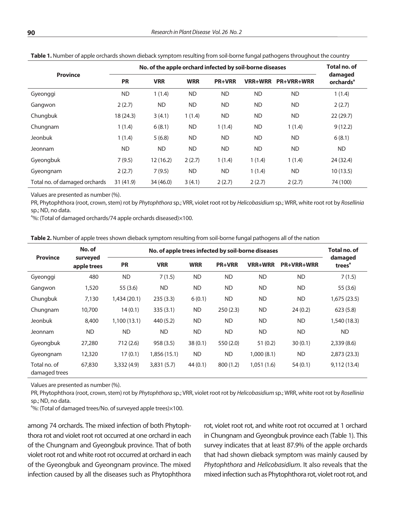|                               | No. of the apple orchard infected by soil-borne diseases | <b>Total no. of</b> |            |               |           |                   |                                         |
|-------------------------------|----------------------------------------------------------|---------------------|------------|---------------|-----------|-------------------|-----------------------------------------|
| <b>Province</b>               | <b>PR</b>                                                | <b>VRR</b>          | <b>WRR</b> | <b>PR+VRR</b> | VRR+WRR   | <b>PR+VRR+WRR</b> | damaged<br><b>orchards</b> <sup>a</sup> |
| Gyeonggi                      | <b>ND</b>                                                | 1(1.4)              | <b>ND</b>  | <b>ND</b>     | <b>ND</b> | <b>ND</b>         | 1(1.4)                                  |
| Gangwon                       | 2(2.7)                                                   | <b>ND</b>           | <b>ND</b>  | <b>ND</b>     | <b>ND</b> | <b>ND</b>         | 2(2.7)                                  |
| Chungbuk                      | 18 (24.3)                                                | 3(4.1)              | 1(1.4)     | ND            | <b>ND</b> | <b>ND</b>         | 22(29.7)                                |
| Chungnam                      | 1(1.4)                                                   | 6(8.1)              | <b>ND</b>  | 1(1.4)        | <b>ND</b> | 1(1.4)            | 9(12.2)                                 |
| <b>Jeonbuk</b>                | 1(1.4)                                                   | 5(6.8)              | <b>ND</b>  | <b>ND</b>     | <b>ND</b> | <b>ND</b>         | 6(8.1)                                  |
| Jeonnam                       | <b>ND</b>                                                | <b>ND</b>           | <b>ND</b>  | <b>ND</b>     | <b>ND</b> | <b>ND</b>         | <b>ND</b>                               |
| Gyeongbuk                     | 7(9.5)                                                   | 12(16.2)            | 2(2.7)     | 1(1.4)        | 1(1.4)    | 1(1.4)            | 24 (32.4)                               |
| Gyeongnam                     | 2(2.7)                                                   | 7(9.5)              | <b>ND</b>  | <b>ND</b>     | 1(1.4)    | <b>ND</b>         | 10(13.5)                                |
| Total no. of damaged orchards | 31(41.9)                                                 | 34 (46.0)           | 3(4.1)     | 2(2.7)        | 2(2.7)    | 2(2.7)            | 74 (100)                                |

**Table 1.** Number of apple orchards shown dieback symptom resulting from soil-borne fungal pathogens throughout the country

Values are presented as number (%).

PR, Phytophthora (root, crown, stem) rot by *Phytophthora* sp.; VRR, violet root rot by *Helicobasidium* sp.; WRR, white root rot by *Rosellinia* sp.; ND, no data.

<sup>a</sup>%: (Total of damaged orchards/74 apple orchards diseased)×100.

**Table 2.** Number of apple trees shown dieback symptom resulting from soil-borne fungal pathogens all of the nation

| <b>Province</b>               | No. of                  |             | Total no. of |            |               |                |                   |                               |
|-------------------------------|-------------------------|-------------|--------------|------------|---------------|----------------|-------------------|-------------------------------|
|                               | surveyed<br>apple trees | <b>PR</b>   | <b>VRR</b>   | <b>WRR</b> | <b>PR+VRR</b> | <b>VRR+WRR</b> | <b>PR+VRR+WRR</b> | damaged<br>trees <sup>a</sup> |
| Gyeonggi                      | 480                     | <b>ND</b>   | 7(1.5)       | <b>ND</b>  | <b>ND</b>     | <b>ND</b>      | <b>ND</b>         | 7(1.5)                        |
| Gangwon                       | 1,520                   | 55(3.6)     | <b>ND</b>    | <b>ND</b>  | <b>ND</b>     | <b>ND</b>      | <b>ND</b>         | 55(3.6)                       |
| Chungbuk                      | 7,130                   | 1,434(20.1) | 235(3.3)     | 6(0.1)     | <b>ND</b>     | <b>ND</b>      | <b>ND</b>         | 1,675(23.5)                   |
| Chungnam                      | 10,700                  | 14(0.1)     | 335(3.1)     | <b>ND</b>  | 250(2.3)      | <b>ND</b>      | 24(0.2)           | 623(5.8)                      |
| Jeonbuk                       | 8,400                   | 1,100(13.1) | 440 (5.2)    | <b>ND</b>  | <b>ND</b>     | <b>ND</b>      | <b>ND</b>         | 1,540 (18.3)                  |
| Jeonnam                       | <b>ND</b>               | <b>ND</b>   | ND.          | <b>ND</b>  | <b>ND</b>     | <b>ND</b>      | <b>ND</b>         | <b>ND</b>                     |
| Gyeongbuk                     | 27,280                  | 712(2.6)    | 958 (3.5)    | 38(0.1)    | 550 (2.0)     | 51(0.2)        | 30(0.1)           | 2,339(8.6)                    |
| Gyeongnam                     | 12,320                  | 17(0.1)     | 1,856 (15.1) | <b>ND</b>  | <b>ND</b>     | 1,000(8.1)     | <b>ND</b>         | 2,873(23.3)                   |
| Total no. of<br>damaged trees | 67,830                  | 3,332(4.9)  | 3,831(5.7)   | 44(0.1)    | 800 (1.2)     | 1,051(1.6)     | 54(0.1)           | 9,112(13.4)                   |

Values are presented as number (%).

PR, Phytophthora (root, crown, stem) rot by *Phytophthora* sp.; VRR, violet root rot by *Helicobasidium* sp.; WRR, white root rot by *Rosellinia* sp.; ND, no data.

<sup>a</sup>%: (Total of damaged trees/No. of surveyed apple trees)×100.

among 74 orchards. The mixed infection of both Phytophthora rot and violet root rot occurred at one orchard in each of the Chungnam and Gyeongbuk province. That of both violet root rot and white root rot occurred at orchard in each of the Gyeongbuk and Gyeongnam province. The mixed infection caused by all the diseases such as Phytophthora

rot, violet root rot, and white root rot occurred at 1 orchard in Chungnam and Gyeongbuk province each (Table 1). This survey indicates that at least 87.9% of the apple orchards that had shown dieback symptom was mainly caused by *Phytophthora* and *Helicobasidium*. It also reveals that the mixed infection such as Phytophthora rot, violet root rot, and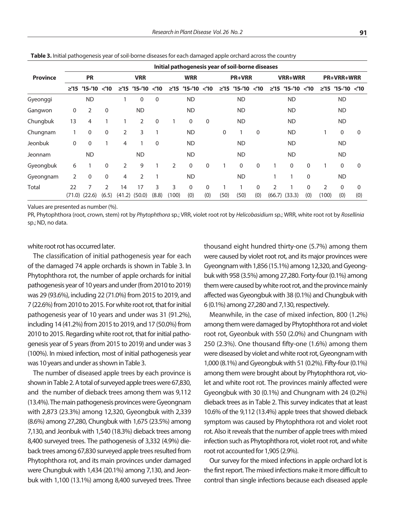|                 | Initial pathogenesis year of soil-borne diseases |               |                        |                |                                |             |                |                                |                     |                |                                |                 |                          |                                |                 |                         |                                |                 |
|-----------------|--------------------------------------------------|---------------|------------------------|----------------|--------------------------------|-------------|----------------|--------------------------------|---------------------|----------------|--------------------------------|-----------------|--------------------------|--------------------------------|-----------------|-------------------------|--------------------------------|-----------------|
| <b>Province</b> | <b>PR</b>                                        |               | <b>VRR</b>             |                | <b>WRR</b>                     |             | <b>PR+VRR</b>  |                                |                     | <b>VRR+WRR</b> |                                |                 | <b>PR+VRR+WRR</b>        |                                |                 |                         |                                |                 |
|                 |                                                  | $≥'15'15-'10$ | $<$ 10                 | $\geq$ 15      | $^{\prime}$ 15– $^{\prime}$ 10 | $<$ 10      | $\geq$ 15      | $^{\prime}$ 15– $^{\prime}$ 10 | $<$ 10              | $\geq$ 15      | $^{\prime}$ 15– $^{\prime}$ 10 | $<$ 10          | $\geq$ 15                | $^{\prime}$ 15– $^{\prime}$ 10 | $<$ 10          | $\geq$ 15               | $^{\prime}$ 15– $^{\prime}$ 10 | $<$ 10          |
| Gyeonggi        |                                                  | <b>ND</b>     |                        |                | 0                              | $\mathbf 0$ |                | <b>ND</b>                      |                     |                | <b>ND</b>                      |                 |                          | <b>ND</b>                      |                 |                         | <b>ND</b>                      |                 |
| Gangwon         | 0                                                | 2             | 0                      |                | <b>ND</b>                      |             |                | <b>ND</b>                      |                     |                | <b>ND</b>                      |                 |                          | <b>ND</b>                      |                 |                         | <b>ND</b>                      |                 |
| Chungbuk        | 13                                               | 4             |                        |                | 2                              | $\mathbf 0$ |                | 0                              | 0                   |                | <b>ND</b>                      |                 |                          | <b>ND</b>                      |                 |                         | <b>ND</b>                      |                 |
| Chungnam        | 1                                                | 0             | 0                      | $\overline{2}$ | 3                              | 1           |                | <b>ND</b>                      |                     | $\mathbf 0$    |                                | 0               |                          | <b>ND</b>                      |                 |                         | 0                              | $\mathbf 0$     |
| Jeonbuk         | $\mathbf 0$                                      | 0             |                        | 4              |                                | $\mathbf 0$ |                | <b>ND</b>                      |                     |                | <b>ND</b>                      |                 |                          | <b>ND</b>                      |                 |                         | <b>ND</b>                      |                 |
| Jeonnam         |                                                  | <b>ND</b>     |                        |                | <b>ND</b>                      |             |                | <b>ND</b>                      |                     |                | <b>ND</b>                      |                 |                          | <b>ND</b>                      |                 |                         | <b>ND</b>                      |                 |
| Gyeongbuk       | 6                                                |               | $\Omega$               | $\overline{2}$ | 9                              |             | $\overline{2}$ | $\mathbf{0}$                   | $\mathbf{0}$        |                | $\Omega$                       | $\Omega$        |                          | $\mathbf{0}$                   | $\Omega$        |                         | 0                              | $\mathbf{0}$    |
| Gyeongnam       | 2                                                | $\mathbf{0}$  | 0                      | 4              | 2                              |             |                | <b>ND</b>                      |                     |                | <b>ND</b>                      |                 |                          |                                | 0               |                         | <b>ND</b>                      |                 |
| Total           | 22<br>(71.0)                                     | 7<br>(22.6)   | $\mathcal{P}$<br>(6.5) | 14<br>(41.2)   | 17<br>(50.0)                   | 3<br>(8.8)  | 3<br>(100)     | $\Omega$<br>(0)                | $\mathbf{0}$<br>(0) | (50)           | (50)                           | $\Omega$<br>(0) | $\overline{2}$<br>(66.7) | (33.3)                         | $\Omega$<br>(0) | $\mathfrak{D}$<br>(100) | $\Omega$<br>(0)                | $\Omega$<br>(0) |

**Table 3.** Initial pathogenesis year of soil-borne diseases for each damaged apple orchard across the country

Values are presented as number (%).

PR, Phytophthora (root, crown, stem) rot by *Phytophthora* sp.; VRR, violet root rot by *Helicobasidium* sp.; WRR, white root rot by *Rosellinia* sp.; ND, no data.

#### white root rot has occurred later.

The classification of initial pathogenesis year for each of the damaged 74 apple orchards is shown in Table 3. In Phytophthora rot, the number of apple orchards for initial pathogenesis year of 10 years and under (from 2010 to 2019) was 29 (93.6%), including 22 (71.0%) from 2015 to 2019, and 7 (22.6%) from 2010 to 2015. For white root rot, that for initial pathogenesis year of 10 years and under was 31 (91.2%), including 14 (41.2%) from 2015 to 2019, and 17 (50.0%) from 2010 to 2015. Regarding white root rot, that for initial pathogenesis year of 5 years (from 2015 to 2019) and under was 3 (100%). In mixed infection, most of initial pathogenesis year was 10 years and under as shown in Table 3.

The number of diseased apple trees by each province is shown in Table 2. A total of surveyed apple trees were 67,830, and the number of dieback trees among them was 9,112 (13.4%). The main pathogenesis provinces were Gyeongnam with 2,873 (23.3%) among 12,320, Gyeongbuk with 2,339 (8.6%) among 27,280, Chungbuk with 1,675 (23.5%) among 7,130, and Jeonbuk with 1,540 (18.3%) dieback trees among 8,400 surveyed trees. The pathogenesis of 3,332 (4.9%) dieback trees among 67,830 surveyed apple trees resulted from Phytophthora rot, and its main provinces under damaged were Chungbuk with 1,434 (20.1%) among 7,130, and Jeonbuk with 1,100 (13.1%) among 8,400 surveyed trees. Three

thousand eight hundred thirty-one (5.7%) among them were caused by violet root rot, and its major provinces were Gyeongnam with 1,856 (15.1%) among 12,320, and Gyeongbuk with 958 (3.5%) among 27,280. Forty-four (0.1%) among them were caused by white root rot, and the province mainly affected was Gyeongbuk with 38 (0.1%) and Chungbuk with 6 (0.1%) among 27,280 and 7,130, respectively.

Meanwhile, in the case of mixed infection, 800 (1.2%) among them were damaged by Phytophthora rot and violet root rot, Gyeonbuk with 550 (2.0%) and Chungnam with 250 (2.3%). One thousand fifty-one (1.6%) among them were diseased by violet and white root rot, Gyeongnam with 1,000 (8.1%) and Gyeongbuk with 51 (0.2%). Fifty-four (0.1%) among them were brought about by Phytophthora rot, violet and white root rot. The provinces mainly affected were Gyeongbuk with 30 (0.1%) and Chungnam with 24 (0.2%) dieback trees as in Table 2. This survey indicates that at least 10.6% of the 9,112 (13.4%) apple trees that showed dieback symptom was caused by Phytophthora rot and violet root rot. Also it reveals that the number of apple trees with mixed infection such as Phytophthora rot, violet root rot, and white root rot accounted for 1,905 (2.9%).

Our survey for the mixed infections in apple orchard lot is the first report. The mixed infections make it more difficult to control than single infections because each diseased apple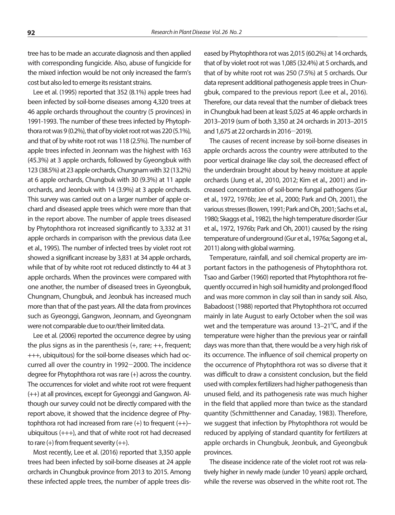tree has to be made an accurate diagnosis and then applied with corresponding fungicide. Also, abuse of fungicide for the mixed infection would be not only increased the farm's cost but also led to emerge its resistant strains.

Lee et al. (1995) reported that 352 (8.1%) apple trees had been infected by soil-borne diseases among 4,320 trees at 46 apple orchards throughout the country (5 provinces) in 1991-1993. The number of these trees infected by Phytophthora rot was 9 (0.2%), that of by violet root rot was 220 (5.1%), and that of by white root rot was 118 (2.5%). The number of apple trees infected in Jeonnam was the highest with 163 (45.3%) at 3 apple orchards, followed by Gyeongbuk with 123 (38.5%) at 23 apple orchards, Chungnam with 32 (13.2%) at 6 apple orchards, Chungbuk with 30 (9.3%) at 11 apple orchards, and Jeonbuk with 14 (3.9%) at 3 apple orchards. This survey was carried out on a larger number of apple orchard and diseased apple trees which were more than that in the report above. The number of apple trees diseased by Phytophthora rot increased significantly to 3,332 at 31 apple orchards in comparison with the previous data (Lee et al., 1995). The number of infected trees by violet root rot showed a significant increase by 3,831 at 34 apple orchards, while that of by white root rot reduced distinctly to 44 at 3 apple orchards. When the provinces were compared with one another, the number of diseased trees in Gyeongbuk, Chungnam, Chungbuk, and Jeonbuk has increased much more than that of the past years. All the data from provinces such as Gyeonggi, Gangwon, Jeonnam, and Gyeongnam were not comparable due to our/their limited data.

Lee et al. (2006) reported the occurrence degree by using the plus signs as in the parenthesis  $(+, \text{rare}; ++, \text{frequent};$ +++, ubiquitous) for the soil-borne diseases which had occurred all over the country in 1992-2000. The incidence degree for Phytophthora rot was rare (+) across the country. The occurrences for violet and white root rot were frequent (++) at all provinces, except for Gyeonggi and Gangwon. Although our survey could not be directly compared with the report above, it showed that the incidence degree of Phytophthora rot had increased from rare  $(+)$  to frequent  $(++)$ ubiquitous (+++), and that of white root rot had decreased to rare  $(+)$  from frequent severity  $(++)$ .

Most recently, Lee et al. (2016) reported that 3,350 apple trees had been infected by soil-borne diseases at 24 apple orchards in Chungbuk province from 2013 to 2015. Among these infected apple trees, the number of apple trees dis-

eased by Phytophthora rot was 2,015 (60.2%) at 14 orchards, that of by violet root rot was 1,085 (32.4%) at 5 orchards, and that of by white root rot was 250 (7.5%) at 5 orchards. Our data represent additional pathogenesis apple trees in Chungbuk, compared to the previous report (Lee et al., 2016). Therefore, our data reveal that the number of dieback trees in Chungbuk had been at least 5,025 at 46 apple orchards in 2013–2019 (sum of both 3,350 at 24 orchards in 2013–2015 and 1,675 at 22 orchards in 2016-2019).

The causes of recent increase by soil-borne diseases in apple orchards across the country were attributed to the poor vertical drainage like clay soil, the decreased effect of the underdrain brought about by heavy moisture at apple orchards (Jung et al., 2010, 2012; Kim et al., 2001) and increased concentration of soil-borne fungal pathogens (Gur et al., 1972, 1976b; Jee et al., 2000; Park and Oh, 2001), the various stresses (Bowen, 1991; Park and Oh, 2001; Sachs et al., 1980; Skaggs et al., 1982), the high temperature disorder (Gur et al., 1972, 1976b; Park and Oh, 2001) caused by the rising temperature of underground (Gur et al., 1976a; Sagong et al., 2011) along with global warming.

Temperature, rainfall, and soil chemical property are important factors in the pathogenesis of Phytophthora rot. Tsao and Garber (1960) reported that Phytophthora rot frequently occurred in high soil humidity and prolonged flood and was more common in clay soil than in sandy soil. Also, Babadoost (1988) reported that Phytophthora rot occurred mainly in late August to early October when the soil was wet and the temperature was around  $13-21^{\circ}$ C, and if the temperature were higher than the previous year or rainfall days was more than that, there would be a very high risk of its occurrence. The influence of soil chemical property on the occurrence of Phytophthora rot was so diverse that it was difficult to draw a consistent conclusion, but the field used with complex fertilizers had higher pathogenesis than unused field, and its pathogenesis rate was much higher in the field that applied more than twice as the standard quantity (Schmitthenner and Canaday, 1983). Therefore, we suggest that infection by Phytophthora rot would be reduced by applying of standard quantity for fertilizers at apple orchards in Chungbuk, Jeonbuk, and Gyeongbuk provinces.

The disease incidence rate of the violet root rot was relatively higher in newly made (under 10 years) apple orchard, while the reverse was observed in the white root rot. The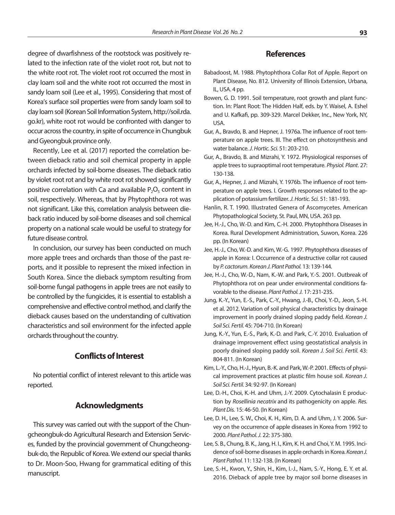degree of dwarfishness of the rootstock was positively related to the infection rate of the violet root rot, but not to the white root rot. The violet root rot occurred the most in clay loam soil and the white root rot occurred the most in sandy loam soil (Lee et al., 1995). Considering that most of Korea's surface soil properties were from sandy loam soil to clay loam soil (Korean Soil Information System, http://soil.rda. go.kr), white root rot would be confronted with danger to occur across the country, in spite of occurrence in Chungbuk and Gyeongbuk province only.

Recently, Lee et al. (2017) reported the correlation between dieback ratio and soil chemical property in apple orchards infected by soil-borne diseases. The dieback ratio by violet root rot and by white root rot showed significantly positive correlation with Ca and available  $P_2O_5$  content in soil, respectively. Whereas, that by Phytophthora rot was not significant. Like this, correlation analysis between dieback ratio induced by soil-borne diseases and soil chemical property on a national scale would be useful to strategy for future disease control.

In conclusion, our survey has been conducted on much more apple trees and orchards than those of the past reports, and it possible to represent the mixed infection in South Korea. Since the dieback symptom resulting from soil-borne fungal pathogens in apple trees are not easily to be controlled by the fungicides, it is essential to establish a comprehensive and effective control method, and clarify the dieback causes based on the understanding of cultivation characteristics and soil environment for the infected apple orchards throughout the country.

#### **Conflicts of Interest**

No potential conflict of interest relevant to this article was reported.

### **Acknowledgments**

This survey was carried out with the support of the Chungcheongbuk-do Agricultural Research and Extension Services, funded by the provincial government of Chungcheongbuk-do, the Republic of Korea. We extend our special thanks to Dr. Moon-Soo, Hwang for grammatical editing of this manuscript.

#### **References**

- Babadoost, M. 1988. Phytophthora Collar Rot of Apple. Report on Plant Disease, No. 812. University of Illinois Extension, Urbana, IL, USA. 4 pp.
- Bowen, G. D. 1991. Soil temperature, root growth and plant function. In: Plant Root: The Hidden Half, eds. by Y. Waisel, A. Eshel and U. Kafkafi, pp. 309-329. Marcel Dekker, Inc., New York, NY, USA.
- Gur, A., Bravdo, B. and Hepner, J. 1976a. The influence of root temperature on apple trees. III. The effect on photosynthesis and water balance*. J. Hortic. Sci.* 51: 203-210.
- Gur, A., Bravdo, B. and Mizrahi, Y. 1972. Physiological responses of apple trees to supraoptimal root temperature. *Physiol. Plant*. 27: 130-138.
- Gur, A., Hepner, J. and Mizrahi, Y. 1976b. The influence of root temperature on apple trees. I. Growth responses related to the application of potassium fertilizer. *J. Hortic. Sci.* 51: 181-193.
- Hanlin, R. T. 1990. Illustrated Genera of Ascomycetes. American Phytopathological Society, St. Paul, MN, USA. 263 pp.
- Jee, H.-J., Cho, W.-D. and Kim, C.-H. 2000. Phytophthora Diseases in Korea. Rural Development Administration, Suwon, Korea. 226 pp. (In Korean)
- Jee, H.-J., Cho, W.-D. and Kim, W.-G. 1997. Phytophthora diseases of apple in Korea: I. Occurrence of a destructive collar rot caused by *P. cactorum. Korean J. Plant Pathol.* 13: 139-144.
- Jee, H.-J., Cho, W.-D., Nam, K.-W. and Park, Y.-S. 2001. Outbreak of Phytophthora rot on pear under environmental conditions favorable to the disease. *Plant Pathol. J.* 17: 231-235.
- Jung, K.-Y., Yun, E.-S., Park, C.-Y., Hwang, J.-B., Choi, Y.-D., Jeon, S.-H. et al. 2012. Variation of soil physical characteristics by drainage improvement in poorly drained sloping paddy field. *Korean J. Soil Sci. Fertil.* 45: 704-710. (In Korean)
- Jung, K.-Y., Yun, E.-S., Park, K.-D. and Park, C.-Y. 2010. Evaluation of drainage improvement effect using geostatistical analysis in poorly drained sloping paddy soil. *Korean J. Soil Sci. Fertil.* 43: 804-811. (In Korean)
- Kim, L.-Y., Cho, H.-J., Hyun, B.-K. and Park, W.-P. 2001. Effects of physical improvement practices at plastic film house soil. *Korean J. Soil Sci. Fertil.* 34: 92-97. (In Korean)
- Lee, D.-H., Choi, K.-H. and Uhm, J.-Y. 2009. Cytochalasin E production by *Rosellinia necatrix* and its pathogenicity on apple. *Res. Plant Dis.* 15: 46-50. (In Korean)
- Lee, D. H., Lee, S. W., Choi, K. H., Kim, D. A. and Uhm, J. Y. 2006. Survey on the occurrence of apple diseases in Korea from 1992 to 2000*. Plant Pathol. J.* 22: 375-380.
- Lee, S. B., Chung, B. K., Jang, H. I., Kim, K. H. and Choi, Y. M. 1995. Incidence of soil-borne diseases in apple orchards in Korea. *Korean J. Plant Pathol.* 11: 132-138. (In Korean)
- Lee, S.-H., Kwon, Y., Shin, H., Kim, I.-J., Nam, S.-Y., Hong, E. Y. et al. 2016. Dieback of apple tree by major soil borne diseases in